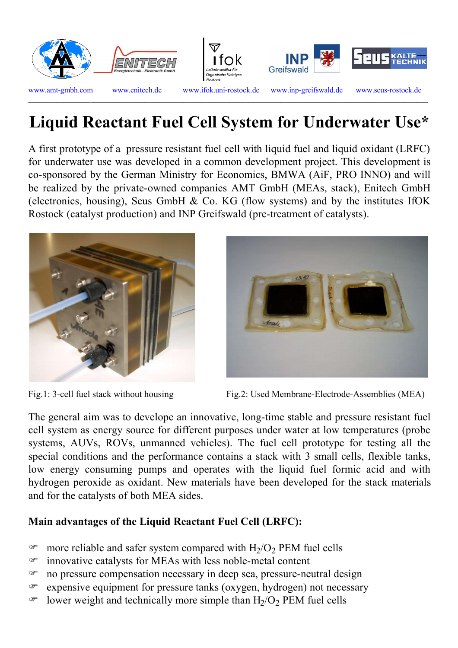







 $\_$  , and the set of the set of the set of the set of the set of the set of the set of the set of the set of the set of the set of the set of the set of the set of the set of the set of the set of the set of the set of th

www.amt-gmbh.com www.enitech.de www.ifok.uni-rostock.de www.inp-greifswald.de www.seus-rostock.de

## **Liquid Reactant Fuel Cell System for Underwater Use\***

A first prototype of a pressure resistant fuel cell with liquid fuel and liquid oxidant (LRFC) for underwater use was developed in a common development project. This development is co-sponsored by the German Ministry for Economics, BMWA (AiF, PRO INNO) and will be realized by the private-owned companies AMT GmbH (MEAs, stack), Enitech GmbH (electronics, housing), Seus GmbH & Co. KG (flow systems) and by the institutes IfOK Rostock (catalyst production) and INP Greifswald (pre-treatment of catalysts).





Fig.1: 3-cell fuel stack without housing Fig.2: Used Membrane-Electrode-Assemblies (MEA)

The general aim was to develope an innovative, long-time stable and pressure resistant fuel cell system as energy source for different purposes under water at low temperatures (probe systems, AUVs, ROVs, unmanned vehicles). The fuel cell prototype for testing all the special conditions and the performance contains a stack with 3 small cells, flexible tanks, low energy consuming pumps and operates with the liquid fuel formic acid and with hydrogen peroxide as oxidant. New materials have been developed for the stack materials and for the catalysts of both MEA sides.

## **Main advantages of the Liquid Reactant Fuel Cell (LRFC):**

- $\bullet$  more reliable and safer system compared with  $H_2/O_2$  PEM fuel cells
- F innovative catalysts for MEAs with less noble-metal content
- F no pressure compensation necessary in deep sea, pressure-neutral design
- F expensive equipment for pressure tanks (oxygen, hydrogen) not necessary
- $\bullet$  lower weight and technically more simple than H<sub>2</sub>/O<sub>2</sub> PEM fuel cells